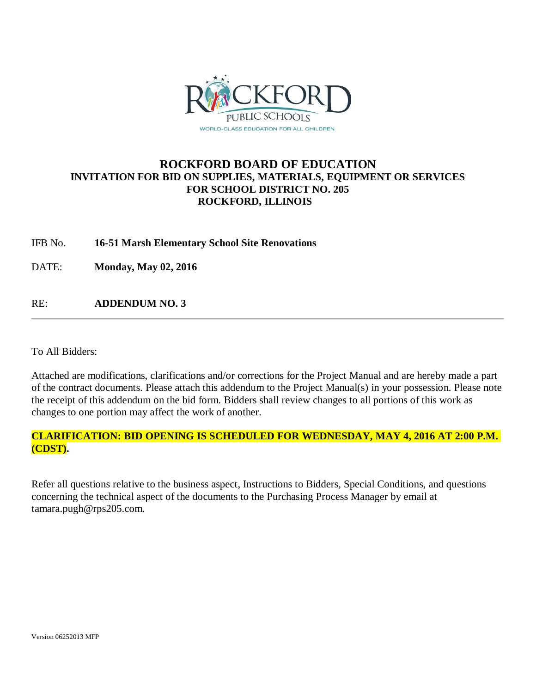

### **ROCKFORD BOARD OF EDUCATION INVITATION FOR BID ON SUPPLIES, MATERIALS, EQUIPMENT OR SERVICES FOR SCHOOL DISTRICT NO. 205 ROCKFORD, ILLINOIS**

### IFB No. **16-51 Marsh Elementary School Site Renovations**

DATE: **Monday, May 02, 2016**

RE: **ADDENDUM NO. 3**

To All Bidders:

Attached are modifications, clarifications and/or corrections for the Project Manual and are hereby made a part of the contract documents. Please attach this addendum to the Project Manual(s) in your possession. Please note the receipt of this addendum on the bid form. Bidders shall review changes to all portions of this work as changes to one portion may affect the work of another.

### **CLARIFICATION: BID OPENING IS SCHEDULED FOR WEDNESDAY, MAY 4, 2016 AT 2:00 P.M. (CDST).**

Refer all questions relative to the business aspect, Instructions to Bidders, Special Conditions, and questions concerning the technical aspect of the documents to the Purchasing Process Manager by email at tamara.pugh@rps205.com.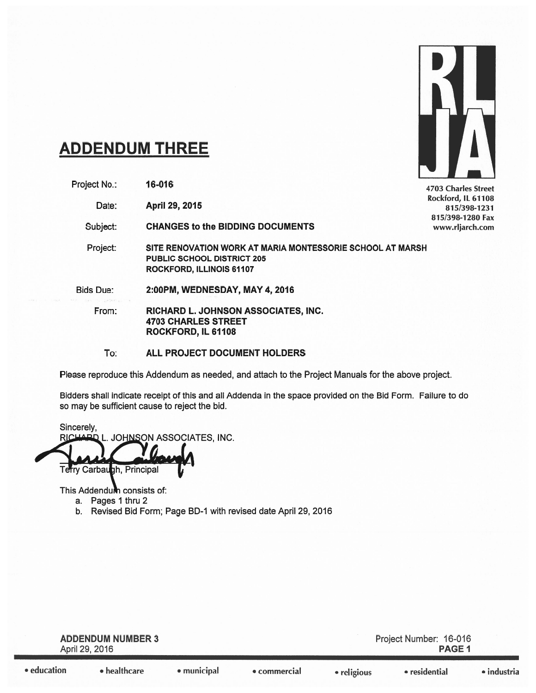

# **ADDENDUM THREE**

Project No.: 16-016

> April 29, 2015 Date:

Subject: **CHANGES to the BIDDING DOCUMENTS** 

Project: SITE RENOVATION WORK AT MARIA MONTESSORIE SCHOOL AT MARSH PUBLIC SCHOOL DISTRICT 205 ROCKFORD, ILLINOIS 61107

**Bids Due:** 2:00PM, WEDNESDAY, MAY 4, 2016

From: RICHARD L. JOHNSON ASSOCIATES, INC. **4703 CHARLES STREET** ROCKFORD, IL 61108

#### To: ALL PROJECT DOCUMENT HOLDERS

Please reproduce this Addendum as needed, and attach to the Project Manuals for the above project.

Bidders shall indicate receipt of this and all Addenda in the space provided on the Bid Form. Failure to do so may be sufficient cause to reject the bid.

Sincerely, RICHARD L. JOHNSON ASSOCIATES, INC.

Terry Carbaugh, Principal

This Addendum consists of:

- a. Pages 1 thru 2
- b. Revised Bid Form; Page BD-1 with revised date April 29, 2016

| <b>ADDENDUM NUMBER 3</b><br>April 29, 2016 |                      |             |              |             | Project Number: 16-016<br><b>PAGE 1</b> |             |  |
|--------------------------------------------|----------------------|-------------|--------------|-------------|-----------------------------------------|-------------|--|
| education                                  | $\bullet$ healthcare | • municipal | • commercial | • religious | • residential                           | • industria |  |

4703 Charles Street Rockford, IL 61108 815/398-1231 815/398-1280 Fax www.rljarch.com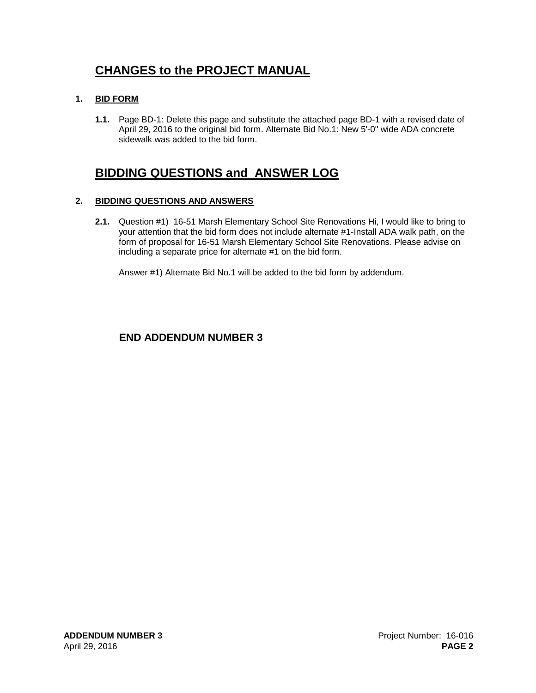## **CHANGES to the PROJECT MANUAL**

### **1. BID FORM**

**1.1.** Page BD-1: Delete this page and substitute the attached page BD-1 with a revised date of April 29, 2016 to the original bid form. Alternate Bid No.1: New 5'-0" wide ADA concrete sidewalk was added to the bid form.

### **BIDDING QUESTIONS and ANSWER LOG**

### **2. BIDDING QUESTIONS AND ANSWERS**

**2.1.** Question #1) 16-51 Marsh Elementary School Site Renovations Hi, I would like to bring to your attention that the bid form does not include alternate #1-Install ADA walk path, on the form of proposal for 16-51 Marsh Elementary School Site Renovations. Please advise on including a separate price for alternate #1 on the bid form.

Answer #1) Alternate Bid No.1 will be added to the bid form by addendum.

### **END ADDENDUM NUMBER 3**